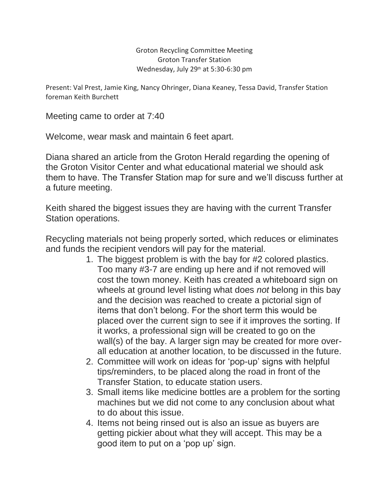Groton Recycling Committee Meeting Groton Transfer Station Wednesday, July 29<sup>th</sup> at 5:30-6:30 pm

Present: Val Prest, Jamie King, Nancy Ohringer, Diana Keaney, Tessa David, Transfer Station foreman Keith Burchett

Meeting came to order at 7:40

Welcome, wear mask and maintain 6 feet apart.

Diana shared an article from the Groton Herald regarding the opening of the Groton Visitor Center and what educational material we should ask them to have. The Transfer Station map for sure and we'll discuss further at a future meeting.

Keith shared the biggest issues they are having with the current Transfer Station operations.

Recycling materials not being properly sorted, which reduces or eliminates and funds the recipient vendors will pay for the material.

- 1. The biggest problem is with the bay for #2 colored plastics. Too many #3-7 are ending up here and if not removed will cost the town money. Keith has created a whiteboard sign on wheels at ground level listing what does *not* belong in this bay and the decision was reached to create a pictorial sign of items that don't belong. For the short term this would be placed over the current sign to see if it improves the sorting. If it works, a professional sign will be created to go on the wall(s) of the bay. A larger sign may be created for more overall education at another location, to be discussed in the future.
- 2. Committee will work on ideas for 'pop-up' signs with helpful tips/reminders, to be placed along the road in front of the Transfer Station, to educate station users.
- 3. Small items like medicine bottles are a problem for the sorting machines but we did not come to any conclusion about what to do about this issue.
- 4. Items not being rinsed out is also an issue as buyers are getting pickier about what they will accept. This may be a good item to put on a 'pop up' sign.